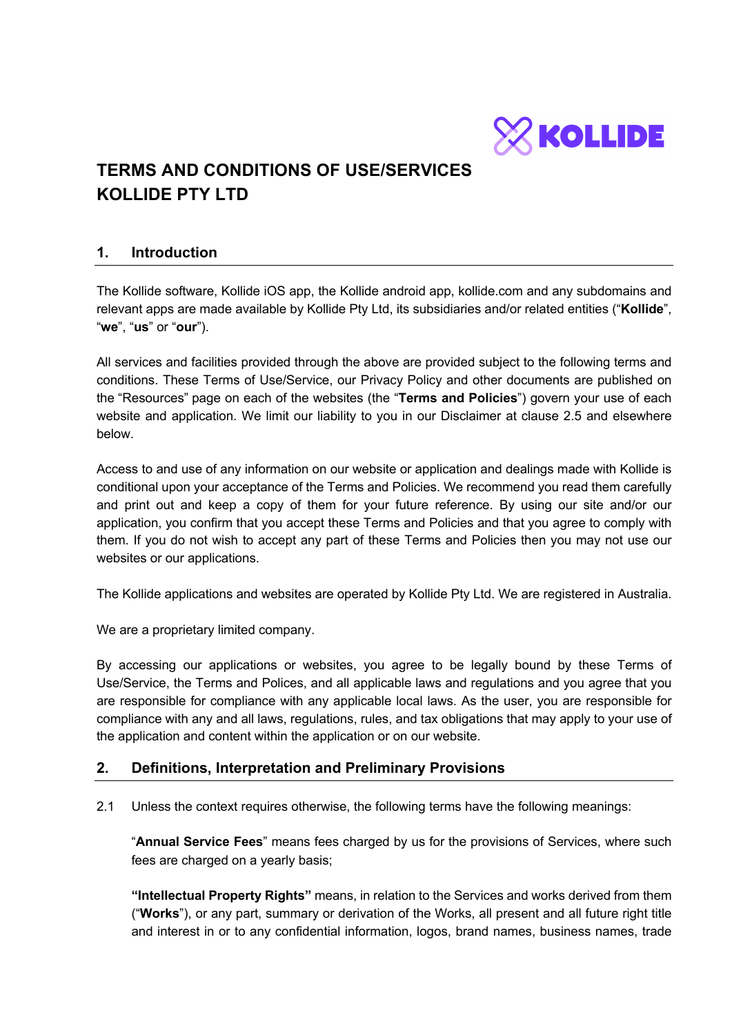

# **TERMS AND CONDITIONS OF USE/SERVICES KOLLIDE PTY LTD**

#### **1. Introduction**

The Kollide software, Kollide iOS app, the Kollide android app, kollide.com and any subdomains and relevant apps are made available by Kollide Pty Ltd, its subsidiaries and/or related entities ("**Kollide**", "**we**", "**us**" or "**our**").

All services and facilities provided through the above are provided subject to the following terms and conditions. These Terms of Use/Service, our Privacy Policy and other documents are published on the "Resources" page on each of the websites (the "**Terms and Policies**") govern your use of each website and application. We limit our liability to you in our Disclaimer at clause 2.5 and elsewhere below.

Access to and use of any information on our website or application and dealings made with Kollide is conditional upon your acceptance of the Terms and Policies. We recommend you read them carefully and print out and keep a copy of them for your future reference. By using our site and/or our application, you confirm that you accept these Terms and Policies and that you agree to comply with them. If you do not wish to accept any part of these Terms and Policies then you may not use our websites or our applications.

The Kollide applications and websites are operated by Kollide Pty Ltd. We are registered in Australia.

We are a proprietary limited company.

By accessing our applications or websites, you agree to be legally bound by these Terms of Use/Service, the Terms and Polices, and all applicable laws and regulations and you agree that you are responsible for compliance with any applicable local laws. As the user, you are responsible for compliance with any and all laws, regulations, rules, and tax obligations that may apply to your use of the application and content within the application or on our website.

## **2. Definitions, Interpretation and Preliminary Provisions**

2.1 Unless the context requires otherwise, the following terms have the following meanings:

"**Annual Service Fees**" means fees charged by us for the provisions of Services, where such fees are charged on a yearly basis;

**"Intellectual Property Rights"** means, in relation to the Services and works derived from them ("**Works**"), or any part, summary or derivation of the Works, all present and all future right title and interest in or to any confidential information, logos, brand names, business names, trade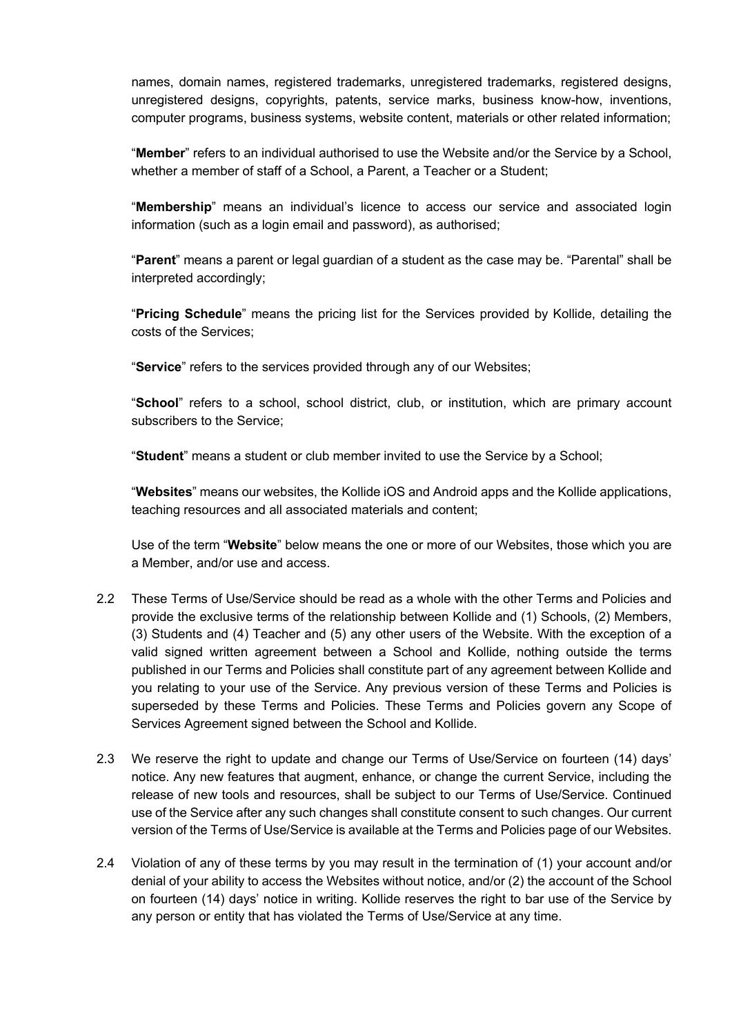names, domain names, registered trademarks, unregistered trademarks, registered designs, unregistered designs, copyrights, patents, service marks, business know-how, inventions, computer programs, business systems, website content, materials or other related information;

"**Member**" refers to an individual authorised to use the Website and/or the Service by a School, whether a member of staff of a School, a Parent, a Teacher or a Student;

"**Membership**" means an individual's licence to access our service and associated login information (such as a login email and password), as authorised;

"**Parent**" means a parent or legal guardian of a student as the case may be. "Parental" shall be interpreted accordingly;

"**Pricing Schedule**" means the pricing list for the Services provided by Kollide, detailing the costs of the Services;

"**Service**" refers to the services provided through any of our Websites;

"**School**" refers to a school, school district, club, or institution, which are primary account subscribers to the Service;

"**Student**" means a student or club member invited to use the Service by a School;

"**Websites**" means our websites, the Kollide iOS and Android apps and the Kollide applications, teaching resources and all associated materials and content;

Use of the term "**Website**" below means the one or more of our Websites, those which you are a Member, and/or use and access.

- 2.2 These Terms of Use/Service should be read as a whole with the other Terms and Policies and provide the exclusive terms of the relationship between Kollide and (1) Schools, (2) Members, (3) Students and (4) Teacher and (5) any other users of the Website. With the exception of a valid signed written agreement between a School and Kollide, nothing outside the terms published in our Terms and Policies shall constitute part of any agreement between Kollide and you relating to your use of the Service. Any previous version of these Terms and Policies is superseded by these Terms and Policies. These Terms and Policies govern any Scope of Services Agreement signed between the School and Kollide.
- 2.3 We reserve the right to update and change our Terms of Use/Service on fourteen (14) days' notice. Any new features that augment, enhance, or change the current Service, including the release of new tools and resources, shall be subject to our Terms of Use/Service. Continued use of the Service after any such changes shall constitute consent to such changes. Our current version of the Terms of Use/Service is available at the Terms and Policies page of our Websites.
- 2.4 Violation of any of these terms by you may result in the termination of (1) your account and/or denial of your ability to access the Websites without notice, and/or (2) the account of the School on fourteen (14) days' notice in writing. Kollide reserves the right to bar use of the Service by any person or entity that has violated the Terms of Use/Service at any time.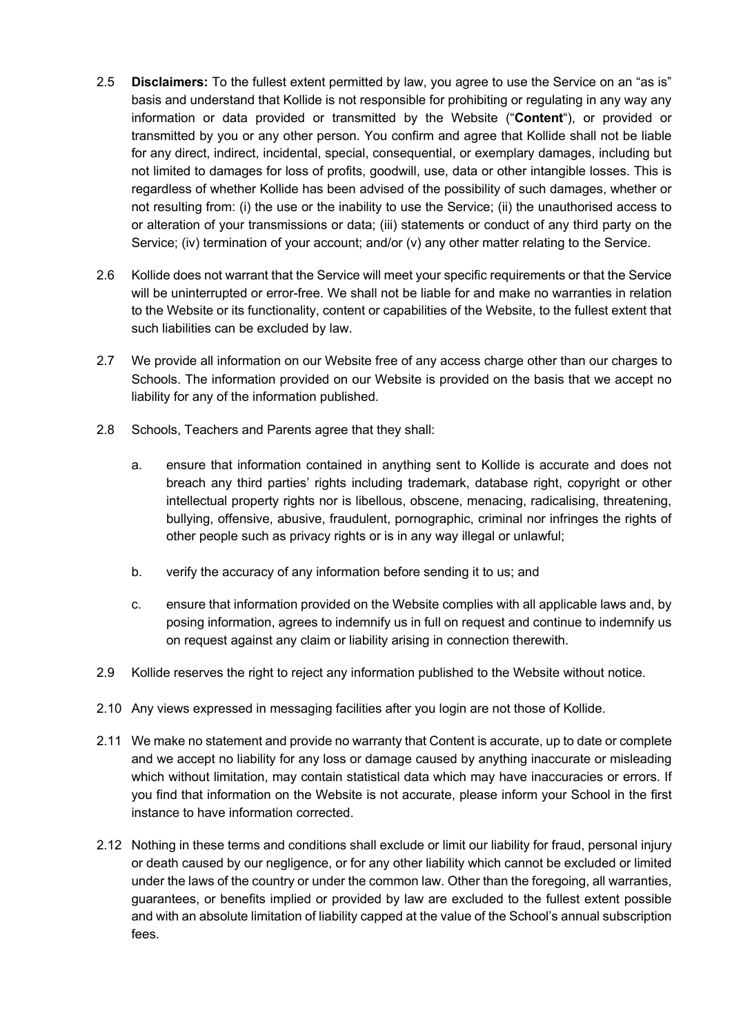- 2.5 **Disclaimers:** To the fullest extent permitted by law, you agree to use the Service on an "as is" basis and understand that Kollide is not responsible for prohibiting or regulating in any way any information or data provided or transmitted by the Website ("**Content**"), or provided or transmitted by you or any other person. You confirm and agree that Kollide shall not be liable for any direct, indirect, incidental, special, consequential, or exemplary damages, including but not limited to damages for loss of profits, goodwill, use, data or other intangible losses. This is regardless of whether Kollide has been advised of the possibility of such damages, whether or not resulting from: (i) the use or the inability to use the Service; (ii) the unauthorised access to or alteration of your transmissions or data; (iii) statements or conduct of any third party on the Service; (iv) termination of your account; and/or (v) any other matter relating to the Service.
- 2.6 Kollide does not warrant that the Service will meet your specific requirements or that the Service will be uninterrupted or error-free. We shall not be liable for and make no warranties in relation to the Website or its functionality, content or capabilities of the Website, to the fullest extent that such liabilities can be excluded by law.
- 2.7 We provide all information on our Website free of any access charge other than our charges to Schools. The information provided on our Website is provided on the basis that we accept no liability for any of the information published.
- 2.8 Schools, Teachers and Parents agree that they shall:
	- a. ensure that information contained in anything sent to Kollide is accurate and does not breach any third parties' rights including trademark, database right, copyright or other intellectual property rights nor is libellous, obscene, menacing, radicalising, threatening, bullying, offensive, abusive, fraudulent, pornographic, criminal nor infringes the rights of other people such as privacy rights or is in any way illegal or unlawful;
	- b. verify the accuracy of any information before sending it to us; and
	- c. ensure that information provided on the Website complies with all applicable laws and, by posing information, agrees to indemnify us in full on request and continue to indemnify us on request against any claim or liability arising in connection therewith.
- 2.9 Kollide reserves the right to reject any information published to the Website without notice.
- 2.10 Any views expressed in messaging facilities after you login are not those of Kollide.
- 2.11 We make no statement and provide no warranty that Content is accurate, up to date or complete and we accept no liability for any loss or damage caused by anything inaccurate or misleading which without limitation, may contain statistical data which may have inaccuracies or errors. If you find that information on the Website is not accurate, please inform your School in the first instance to have information corrected.
- 2.12 Nothing in these terms and conditions shall exclude or limit our liability for fraud, personal injury or death caused by our negligence, or for any other liability which cannot be excluded or limited under the laws of the country or under the common law. Other than the foregoing, all warranties, guarantees, or benefits implied or provided by law are excluded to the fullest extent possible and with an absolute limitation of liability capped at the value of the School's annual subscription fees.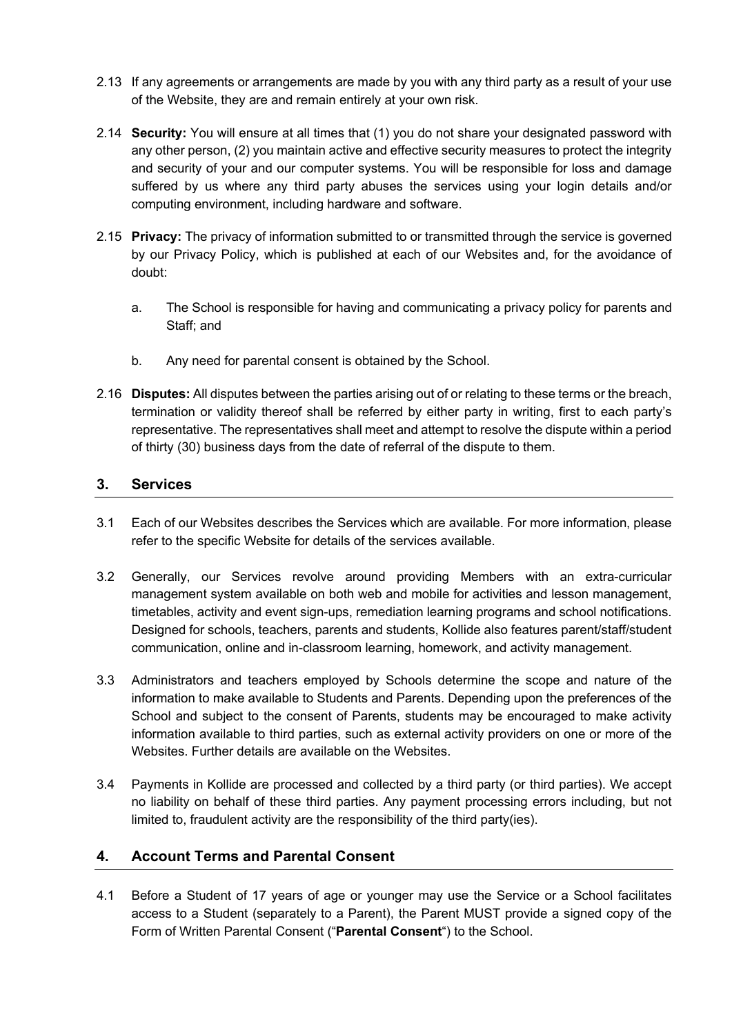- 2.13 If any agreements or arrangements are made by you with any third party as a result of your use of the Website, they are and remain entirely at your own risk.
- 2.14 **Security:** You will ensure at all times that (1) you do not share your designated password with any other person, (2) you maintain active and effective security measures to protect the integrity and security of your and our computer systems. You will be responsible for loss and damage suffered by us where any third party abuses the services using your login details and/or computing environment, including hardware and software.
- 2.15 **Privacy:** The privacy of information submitted to or transmitted through the service is governed by our Privacy Policy, which is published at each of our Websites and, for the avoidance of doubt:
	- a. The School is responsible for having and communicating a privacy policy for parents and Staff; and
	- b. Any need for parental consent is obtained by the School.
- 2.16 **Disputes:** All disputes between the parties arising out of or relating to these terms or the breach, termination or validity thereof shall be referred by either party in writing, first to each party's representative. The representatives shall meet and attempt to resolve the dispute within a period of thirty (30) business days from the date of referral of the dispute to them.

#### **3. Services**

- 3.1 Each of our Websites describes the Services which are available. For more information, please refer to the specific Website for details of the services available.
- 3.2 Generally, our Services revolve around providing Members with an extra-curricular management system available on both web and mobile for activities and lesson management, timetables, activity and event sign-ups, remediation learning programs and school notifications. Designed for schools, teachers, parents and students, Kollide also features parent/staff/student communication, online and in-classroom learning, homework, and activity management.
- 3.3 Administrators and teachers employed by Schools determine the scope and nature of the information to make available to Students and Parents. Depending upon the preferences of the School and subject to the consent of Parents, students may be encouraged to make activity information available to third parties, such as external activity providers on one or more of the Websites. Further details are available on the Websites.
- 3.4 Payments in Kollide are processed and collected by a third party (or third parties). We accept no liability on behalf of these third parties. Any payment processing errors including, but not limited to, fraudulent activity are the responsibility of the third party(ies).

## **4. Account Terms and Parental Consent**

4.1 Before a Student of 17 years of age or younger may use the Service or a School facilitates access to a Student (separately to a Parent), the Parent MUST provide a signed copy of the Form of Written Parental Consent ("**Parental Consent**") to the School.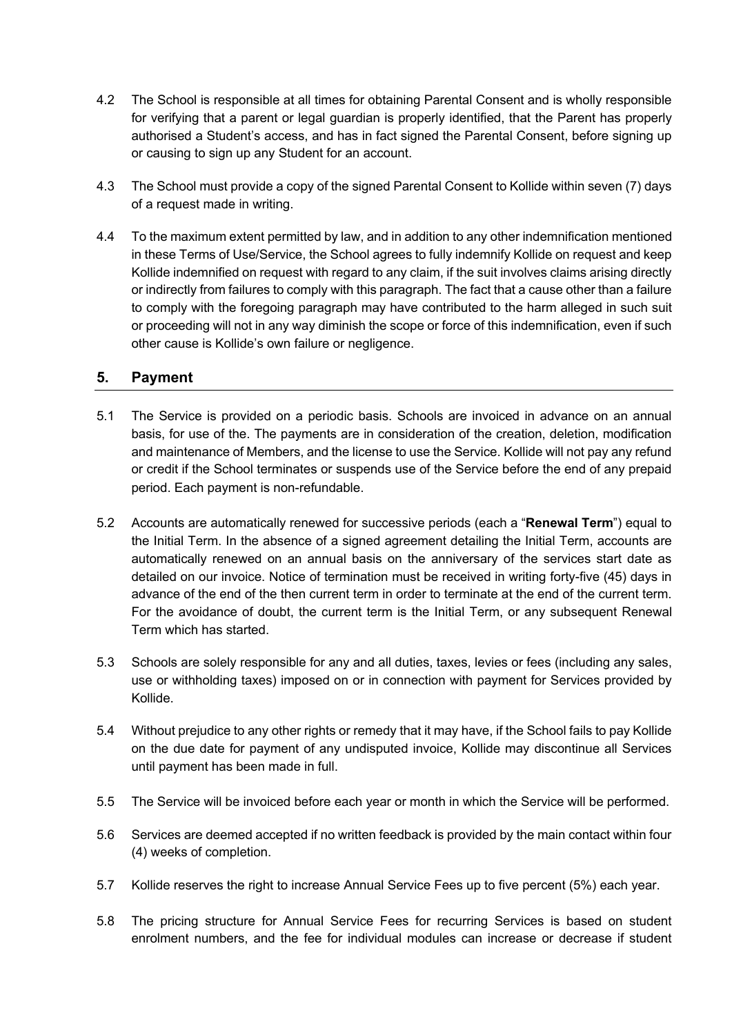- 4.2 The School is responsible at all times for obtaining Parental Consent and is wholly responsible for verifying that a parent or legal guardian is properly identified, that the Parent has properly authorised a Student's access, and has in fact signed the Parental Consent, before signing up or causing to sign up any Student for an account.
- 4.3 The School must provide a copy of the signed Parental Consent to Kollide within seven (7) days of a request made in writing.
- 4.4 To the maximum extent permitted by law, and in addition to any other indemnification mentioned in these Terms of Use/Service, the School agrees to fully indemnify Kollide on request and keep Kollide indemnified on request with regard to any claim, if the suit involves claims arising directly or indirectly from failures to comply with this paragraph. The fact that a cause other than a failure to comply with the foregoing paragraph may have contributed to the harm alleged in such suit or proceeding will not in any way diminish the scope or force of this indemnification, even if such other cause is Kollide's own failure or negligence.

#### **5. Payment**

- 5.1 The Service is provided on a periodic basis. Schools are invoiced in advance on an annual basis, for use of the. The payments are in consideration of the creation, deletion, modification and maintenance of Members, and the license to use the Service. Kollide will not pay any refund or credit if the School terminates or suspends use of the Service before the end of any prepaid period. Each payment is non-refundable.
- 5.2 Accounts are automatically renewed for successive periods (each a "**Renewal Term**") equal to the Initial Term. In the absence of a signed agreement detailing the Initial Term, accounts are automatically renewed on an annual basis on the anniversary of the services start date as detailed on our invoice. Notice of termination must be received in writing forty-five (45) days in advance of the end of the then current term in order to terminate at the end of the current term. For the avoidance of doubt, the current term is the Initial Term, or any subsequent Renewal Term which has started.
- 5.3 Schools are solely responsible for any and all duties, taxes, levies or fees (including any sales, use or withholding taxes) imposed on or in connection with payment for Services provided by Kollide.
- 5.4 Without prejudice to any other rights or remedy that it may have, if the School fails to pay Kollide on the due date for payment of any undisputed invoice, Kollide may discontinue all Services until payment has been made in full.
- 5.5 The Service will be invoiced before each year or month in which the Service will be performed.
- 5.6 Services are deemed accepted if no written feedback is provided by the main contact within four (4) weeks of completion.
- 5.7 Kollide reserves the right to increase Annual Service Fees up to five percent (5%) each year.
- 5.8 The pricing structure for Annual Service Fees for recurring Services is based on student enrolment numbers, and the fee for individual modules can increase or decrease if student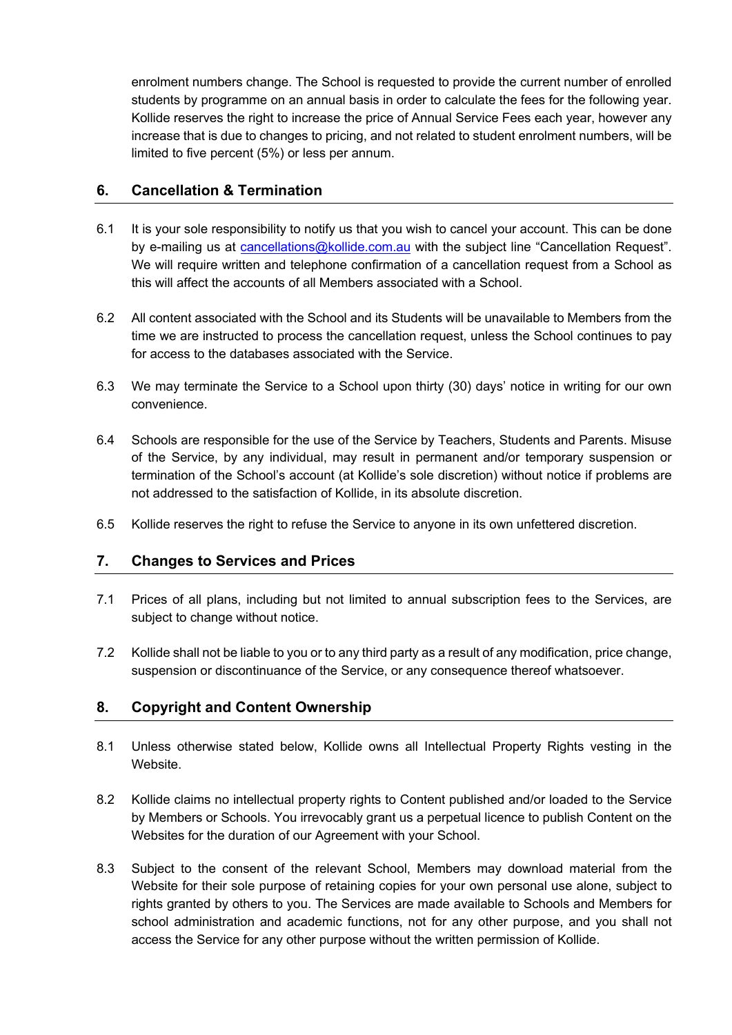enrolment numbers change. The School is requested to provide the current number of enrolled students by programme on an annual basis in order to calculate the fees for the following year. Kollide reserves the right to increase the price of Annual Service Fees each year, however any increase that is due to changes to pricing, and not related to student enrolment numbers, will be limited to five percent (5%) or less per annum.

#### **6. Cancellation & Termination**

- 6.1 It is your sole responsibility to notify us that you wish to cancel your account. This can be done by e-mailing us at cancellations@kollide.com.au with the subject line "Cancellation Request". We will require written and telephone confirmation of a cancellation request from a School as this will affect the accounts of all Members associated with a School.
- 6.2 All content associated with the School and its Students will be unavailable to Members from the time we are instructed to process the cancellation request, unless the School continues to pay for access to the databases associated with the Service.
- 6.3 We may terminate the Service to a School upon thirty (30) days' notice in writing for our own convenience.
- 6.4 Schools are responsible for the use of the Service by Teachers, Students and Parents. Misuse of the Service, by any individual, may result in permanent and/or temporary suspension or termination of the School's account (at Kollide's sole discretion) without notice if problems are not addressed to the satisfaction of Kollide, in its absolute discretion.
- 6.5 Kollide reserves the right to refuse the Service to anyone in its own unfettered discretion.

#### **7. Changes to Services and Prices**

- 7.1 Prices of all plans, including but not limited to annual subscription fees to the Services, are subject to change without notice.
- 7.2 Kollide shall not be liable to you or to any third party as a result of any modification, price change, suspension or discontinuance of the Service, or any consequence thereof whatsoever.

## **8. Copyright and Content Ownership**

- 8.1 Unless otherwise stated below, Kollide owns all Intellectual Property Rights vesting in the Website.
- 8.2 Kollide claims no intellectual property rights to Content published and/or loaded to the Service by Members or Schools. You irrevocably grant us a perpetual licence to publish Content on the Websites for the duration of our Agreement with your School.
- 8.3 Subject to the consent of the relevant School, Members may download material from the Website for their sole purpose of retaining copies for your own personal use alone, subject to rights granted by others to you. The Services are made available to Schools and Members for school administration and academic functions, not for any other purpose, and you shall not access the Service for any other purpose without the written permission of Kollide.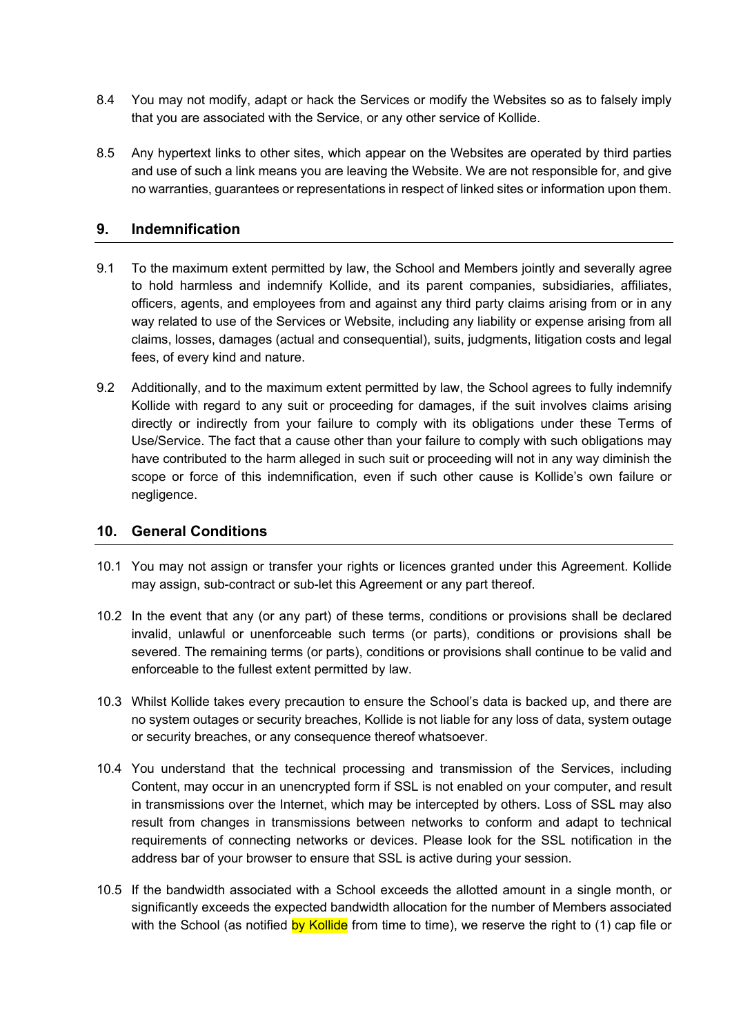- 8.4 You may not modify, adapt or hack the Services or modify the Websites so as to falsely imply that you are associated with the Service, or any other service of Kollide.
- 8.5 Any hypertext links to other sites, which appear on the Websites are operated by third parties and use of such a link means you are leaving the Website. We are not responsible for, and give no warranties, guarantees or representations in respect of linked sites or information upon them.

#### **9. Indemnification**

- 9.1 To the maximum extent permitted by law, the School and Members jointly and severally agree to hold harmless and indemnify Kollide, and its parent companies, subsidiaries, affiliates, officers, agents, and employees from and against any third party claims arising from or in any way related to use of the Services or Website, including any liability or expense arising from all claims, losses, damages (actual and consequential), suits, judgments, litigation costs and legal fees, of every kind and nature.
- 9.2 Additionally, and to the maximum extent permitted by law, the School agrees to fully indemnify Kollide with regard to any suit or proceeding for damages, if the suit involves claims arising directly or indirectly from your failure to comply with its obligations under these Terms of Use/Service. The fact that a cause other than your failure to comply with such obligations may have contributed to the harm alleged in such suit or proceeding will not in any way diminish the scope or force of this indemnification, even if such other cause is Kollide's own failure or negligence.

#### **10. General Conditions**

- 10.1 You may not assign or transfer your rights or licences granted under this Agreement. Kollide may assign, sub-contract or sub-let this Agreement or any part thereof.
- 10.2 In the event that any (or any part) of these terms, conditions or provisions shall be declared invalid, unlawful or unenforceable such terms (or parts), conditions or provisions shall be severed. The remaining terms (or parts), conditions or provisions shall continue to be valid and enforceable to the fullest extent permitted by law.
- 10.3 Whilst Kollide takes every precaution to ensure the School's data is backed up, and there are no system outages or security breaches, Kollide is not liable for any loss of data, system outage or security breaches, or any consequence thereof whatsoever.
- 10.4 You understand that the technical processing and transmission of the Services, including Content, may occur in an unencrypted form if SSL is not enabled on your computer, and result in transmissions over the Internet, which may be intercepted by others. Loss of SSL may also result from changes in transmissions between networks to conform and adapt to technical requirements of connecting networks or devices. Please look for the SSL notification in the address bar of your browser to ensure that SSL is active during your session.
- 10.5 If the bandwidth associated with a School exceeds the allotted amount in a single month, or significantly exceeds the expected bandwidth allocation for the number of Members associated with the School (as notified by Kollide from time to time), we reserve the right to (1) cap file or